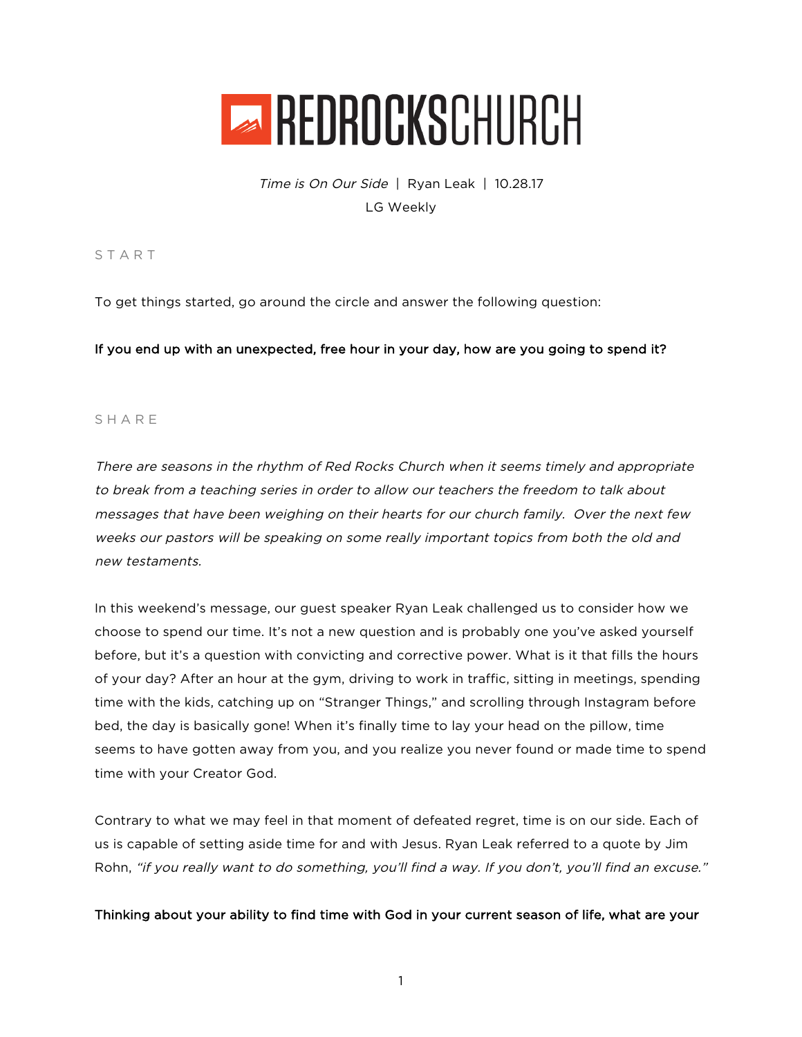

Time is On Our Side | Ryan Leak | 10.28.17 LG Weekly

START

To get things started, go around the circle and answer the following question:

If you end up with an unexpected, free hour in your day, how are you going to spend it?

# SHARE

There are seasons in the rhythm of Red Rocks Church when it seems timely and appropriate to break from a teaching series in order to allow our teachers the freedom to talk about messages that have been weighing on their hearts for our church family. Over the next few weeks our pastors will be speaking on some really important topics from both the old and new testaments.

In this weekend's message, our guest speaker Ryan Leak challenged us to consider how we choose to spend our time. It's not a new question and is probably one you've asked yourself before, but it's a question with convicting and corrective power. What is it that fills the hours of your day? After an hour at the gym, driving to work in traffic, sitting in meetings, spending time with the kids, catching up on "Stranger Things," and scrolling through Instagram before bed, the day is basically gone! When it's finally time to lay your head on the pillow, time seems to have gotten away from you, and you realize you never found or made time to spend time with your Creator God.

Contrary to what we may feel in that moment of defeated regret, time is on our side. Each of us is capable of setting aside time for and with Jesus. Ryan Leak referred to a quote by Jim Rohn, "if you really want to do something, you'll find a way. If you don't, you'll find an excuse."

# Thinking about your ability to find time with God in your current season of life, what are your

1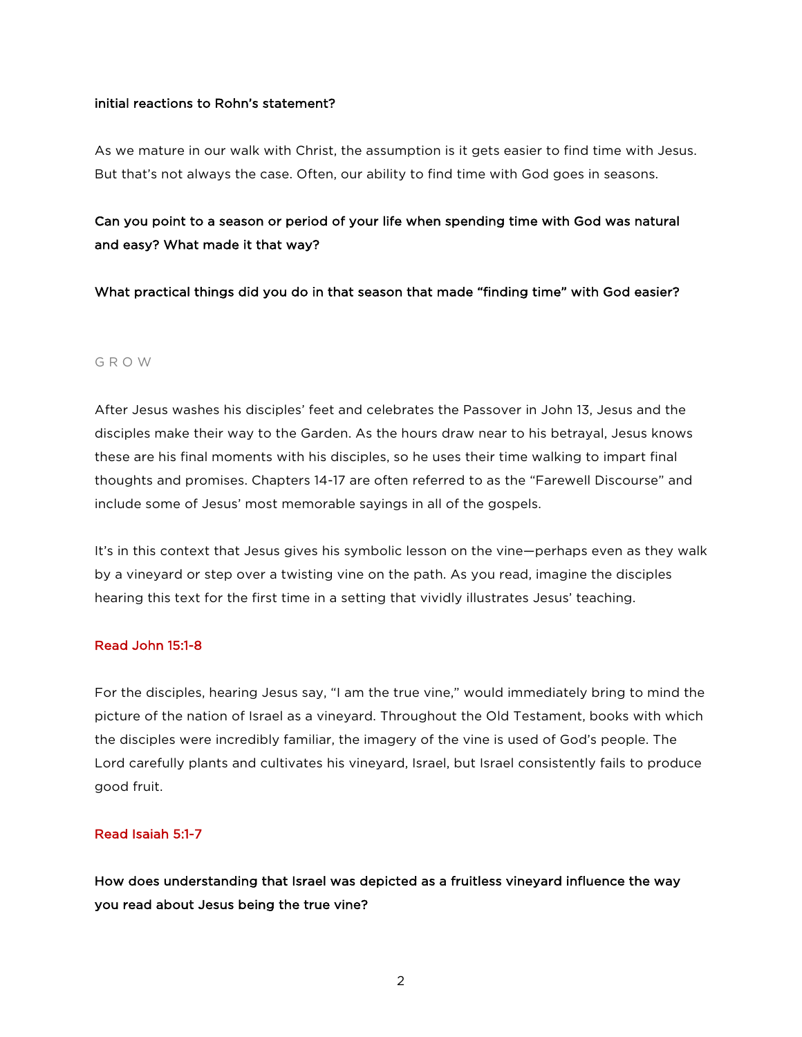## initial reactions to Rohn's statement?

As we mature in our walk with Christ, the assumption is it gets easier to find time with Jesus. But that's not always the case. Often, our ability to find time with God goes in seasons.

# Can you point to a season or period of your life when spending time with God was natural and easy? What made it that way?

What practical things did you do in that season that made "finding time" with God easier?

### GRO W

After Jesus washes his disciples' feet and celebrates the Passover in John 13, Jesus and the disciples make their way to the Garden. As the hours draw near to his betrayal, Jesus knows these are his final moments with his disciples, so he uses their time walking to impart final thoughts and promises. Chapters 14-17 are often referred to as the "Farewell Discourse" and include some of Jesus' most memorable sayings in all of the gospels.

It's in this context that Jesus gives his symbolic lesson on the vine—perhaps even as they walk by a vineyard or step over a twisting vine on the path. As you read, imagine the disciples hearing this text for the first time in a setting that vividly illustrates Jesus' teaching.

# Read John 15:1-8

For the disciples, hearing Jesus say, "I am the true vine," would immediately bring to mind the picture of the nation of Israel as a vineyard. Throughout the Old Testament, books with which the disciples were incredibly familiar, the imagery of the vine is used of God's people. The Lord carefully plants and cultivates his vineyard, Israel, but Israel consistently fails to produce good fruit.

#### Read Isaiah 5:1-7

How does understanding that Israel was depicted as a fruitless vineyard influence the way you read about Jesus being the true vine?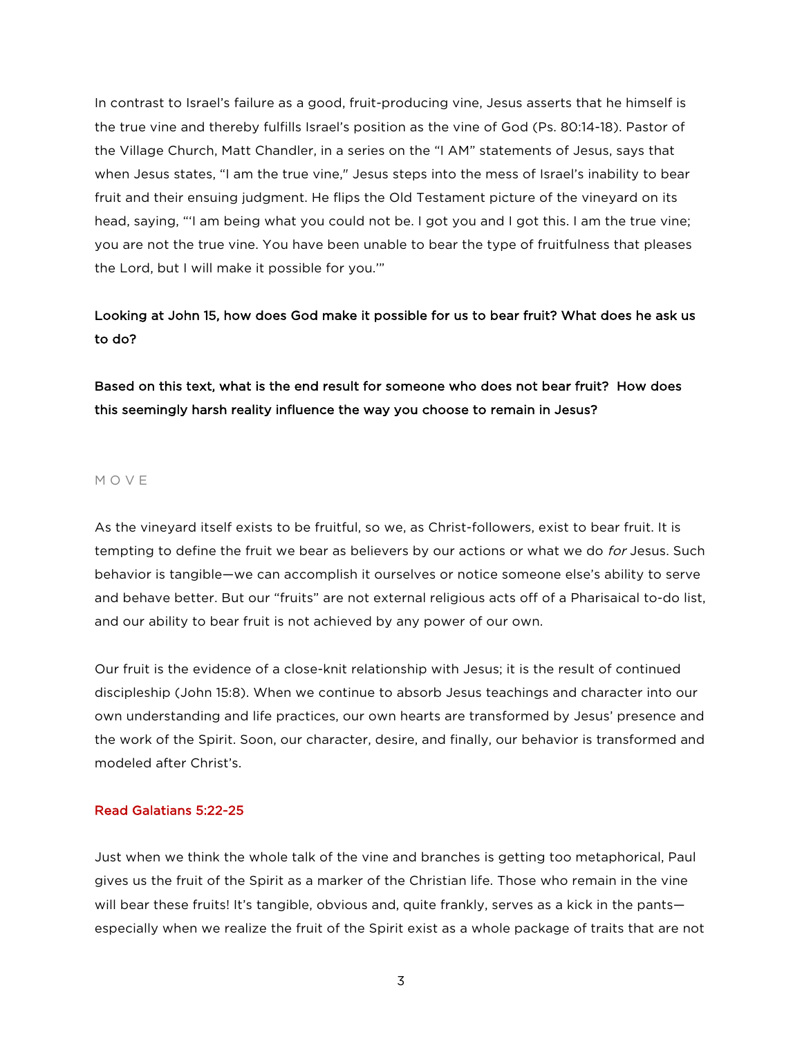In contrast to Israel's failure as a good, fruit-producing vine, Jesus asserts that he himself is the true vine and thereby fulfills Israel's position as the vine of God (Ps. 80:14-18). Pastor of the Village Church, Matt Chandler, in a series on the "I AM" statements of Jesus, says that when Jesus states, "I am the true vine," Jesus steps into the mess of Israel's inability to bear fruit and their ensuing judgment. He flips the Old Testament picture of the vineyard on its head, saying, "'I am being what you could not be. I got you and I got this. I am the true vine; you are not the true vine. You have been unable to bear the type of fruitfulness that pleases the Lord, but I will make it possible for you.'"

# Looking at John 15, how does God make it possible for us to bear fruit? What does he ask us to do?

Based on this text, what is the end result for someone who does not bear fruit? How does this seemingly harsh reality influence the way you choose to remain in Jesus?

## MOVE

As the vineyard itself exists to be fruitful, so we, as Christ-followers, exist to bear fruit. It is tempting to define the fruit we bear as believers by our actions or what we do for Jesus. Such behavior is tangible—we can accomplish it ourselves or notice someone else's ability to serve and behave better. But our "fruits" are not external religious acts off of a Pharisaical to-do list, and our ability to bear fruit is not achieved by any power of our own.

Our fruit is the evidence of a close-knit relationship with Jesus; it is the result of continued discipleship (John 15:8). When we continue to absorb Jesus teachings and character into our own understanding and life practices, our own hearts are transformed by Jesus' presence and the work of the Spirit. Soon, our character, desire, and finally, our behavior is transformed and modeled after Christ's.

### Read Galatians 5:22-25

Just when we think the whole talk of the vine and branches is getting too metaphorical, Paul gives us the fruit of the Spirit as a marker of the Christian life. Those who remain in the vine will bear these fruits! It's tangible, obvious and, quite frankly, serves as a kick in the pants especially when we realize the fruit of the Spirit exist as a whole package of traits that are not

3